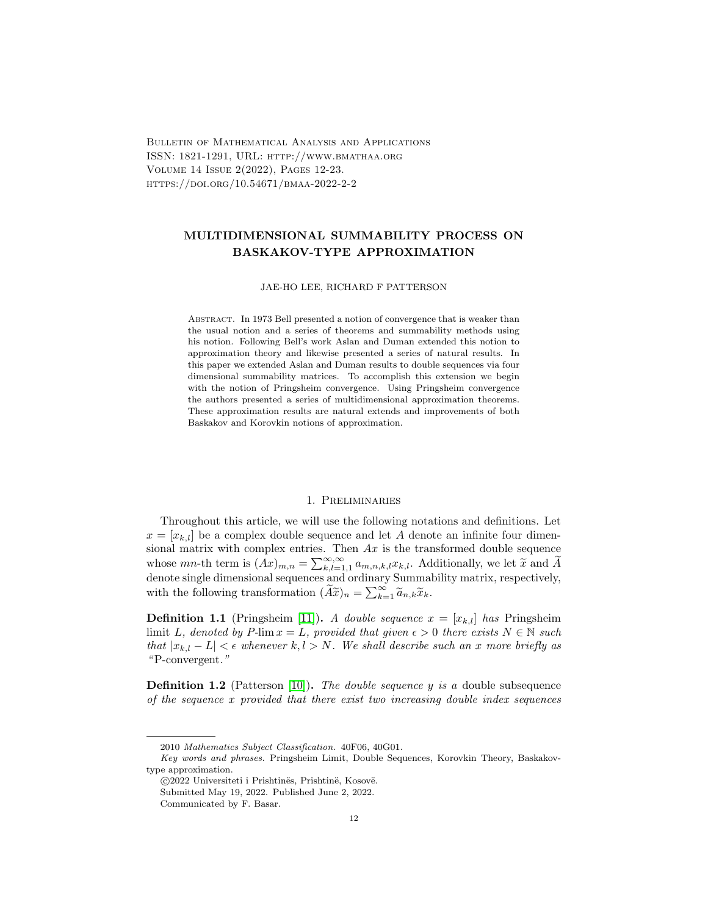Bulletin of Mathematical Analysis and Applications ISSN: 1821-1291, URL: http://www.bmathaa.org Volume 14 Issue 2(2022), Pages 12-23. https://doi.org/10.54671/bmaa-2022-2-2

# MULTIDIMENSIONAL SUMMABILITY PROCESS ON BASKAKOV-TYPE APPROXIMATION

#### JAE-HO LEE, RICHARD F PATTERSON

Abstract. In 1973 Bell presented a notion of convergence that is weaker than the usual notion and a series of theorems and summability methods using his notion. Following Bell's work Aslan and Duman extended this notion to approximation theory and likewise presented a series of natural results. In this paper we extended Aslan and Duman results to double sequences via four dimensional summability matrices. To accomplish this extension we begin with the notion of Pringsheim convergence. Using Pringsheim convergence the authors presented a series of multidimensional approximation theorems. These approximation results are natural extends and improvements of both Baskakov and Korovkin notions of approximation.

#### 1. Preliminaries

Throughout this article, we will use the following notations and definitions. Let  $x = [x_{k,l}]$  be a complex double sequence and let A denote an infinite four dimensional matrix with complex entries. Then  $Ax$  is the transformed double sequence whose  $mn$ -th term is  $(Ax)_{m,n} = \sum_{k,l=1,1}^{\infty,\infty} a_{m,n,k,l}x_{k,l}$ . Additionally, we let  $\tilde{x}$  and  $\tilde{A}$  denote single dimensional sequences and ordinary Summability matrix, respectively, with the following transformation  $(\widetilde{A}\widetilde{x})_n = \sum_{k=1}^{\infty} \widetilde{a}_{n,k}\widetilde{x}_k$ .

**Definition 1.1** (Pringsheim [\[11\]](#page-11-0)). A double sequence  $x = [x_{k,l}]$  has Pringsheim limit L, denoted by P-lim  $x = L$ , provided that given  $\epsilon > 0$  there exists  $N \in \mathbb{N}$  such that  $|x_{k,l} - L| < \epsilon$  whenever  $k, l > N$ . We shall describe such an x more briefly as "P-convergent."

**Definition 1.2** (Patterson [\[10\]](#page-11-1)). The double sequence y is a double subsequence of the sequence x provided that there exist two increasing double index sequences

<sup>2010</sup> Mathematics Subject Classification. 40F06, 40G01.

Key words and phrases. Pringsheim Limit, Double Sequences, Korovkin Theory, Baskakovtype approximation.

<sup>© 2022</sup> Universiteti i Prishtinës, Prishtinë, Kosovë.

Submitted May 19, 2022. Published June 2, 2022.

Communicated by F. Basar.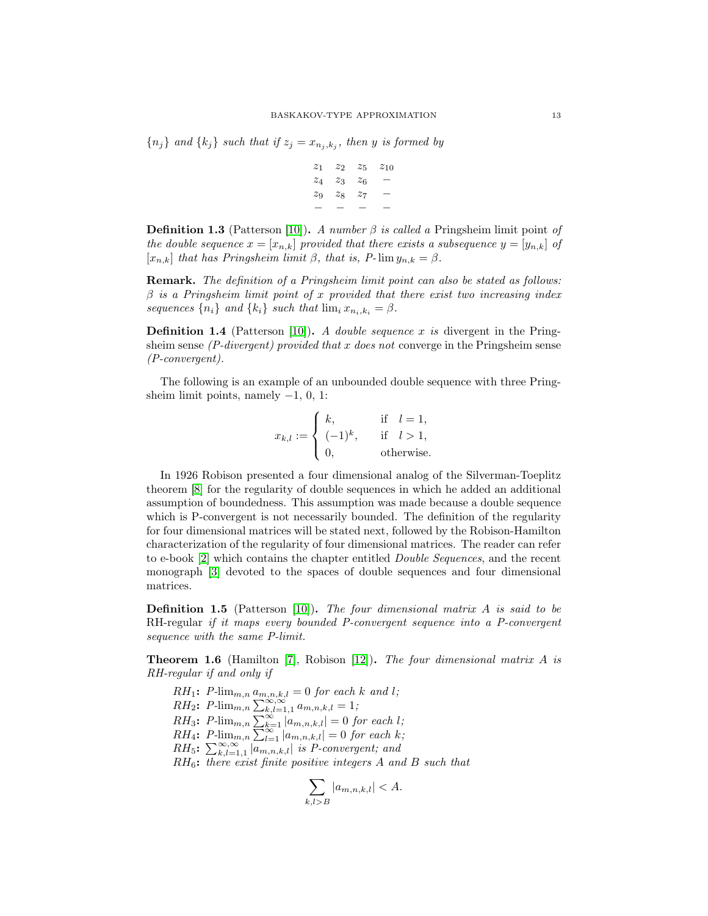${n_j}$  and  ${k_j}$  such that if  $z_j = x_{n_j, k_j}$ , then y is formed by

$$
\begin{array}{ccccccc}\nz_1 & z_2 & z_5 & z_{10} \\
z_4 & z_3 & z_6 & - \\
z_9 & z_8 & z_7 & - \\
& - & - & - & -\n\end{array}
$$

**Definition 1.3** (Patterson [\[10\]](#page-11-1)). A number  $\beta$  is called a Pringsheim limit point of the double sequence  $x = [x_{n,k}]$  provided that there exists a subsequence  $y = [y_{n,k}]$  of  $[x_{n,k}]$  that has Pringsheim limit  $\beta$ , that is, P-lim  $y_{n,k} = \beta$ .

Remark. The definition of a Pringsheim limit point can also be stated as follows:  $\beta$  is a Pringsheim limit point of x provided that there exist two increasing index sequences  $\{n_i\}$  and  $\{k_i\}$  such that  $\lim_i x_{n_i,k_i} = \beta$ .

**Definition 1.4** (Patterson [\[10\]](#page-11-1)). A double sequence x is divergent in the Pringsheim sense  $(P\text{-}divergent)$  provided that x does not converge in the Pringsheim sense (P-convergent).

The following is an example of an unbounded double sequence with three Pringsheim limit points, namely  $-1$ , 0, 1:

$$
x_{k,l} := \begin{cases} k, & \text{if } l = 1, \\ (-1)^k, & \text{if } l > 1, \\ 0, & \text{otherwise.} \end{cases}
$$

In 1926 Robison presented a four dimensional analog of the Silverman-Toeplitz theorem [\[8\]](#page-11-2) for the regularity of double sequences in which he added an additional assumption of boundedness. This assumption was made because a double sequence which is P-convergent is not necessarily bounded. The definition of the regularity for four dimensional matrices will be stated next, followed by the Robison-Hamilton characterization of the regularity of four dimensional matrices. The reader can refer to e-book [\[2\]](#page-10-0) which contains the chapter entitled Double Sequences, and the recent monograph [\[3\]](#page-10-1) devoted to the spaces of double sequences and four dimensional matrices.

**Definition 1.5** (Patterson [\[10\]](#page-11-1)). The four dimensional matrix  $A$  is said to be RH-regular if it maps every bounded P-convergent sequence into a P-convergent sequence with the same P-limit.

**Theorem 1.6** (Hamilton [\[7\]](#page-10-2), Robison [\[12\]](#page-11-3)). The four dimensional matrix A is RH-regular if and only if

 $RH_1$ :  $P$ -lim<sub>m,n</sub>  $a_{m,n,k,l} = 0$  for each k and l;  $RH_2$ :  $P$ - $\lim_{m,n} \sum_{k,l=1,1}^{\infty,\infty} a_{m,n,k,l} = 1;$  $RH_3$ :  $P\text{-lim}_{m,n} \sum_{k=1}^{\infty} |a_{m,n,k,l}| = 0$  for each l;  $RH_4$ :  $P\text{-}\lim_{m,n} \sum_{l=1}^{\infty} |a_{m,n,k,l}| = 0$  for each k;  $RH_5$ :  $\sum_{k,l=1,1}^{\infty,\infty}$  |  $[a_{m,n,k,l}]$  is P-convergent; and  $RH_6$ : there exist finite positive integers  $A$  and  $B$  such that

$$
\sum_{k,l>B} |a_{m,n,k,l}| < A.
$$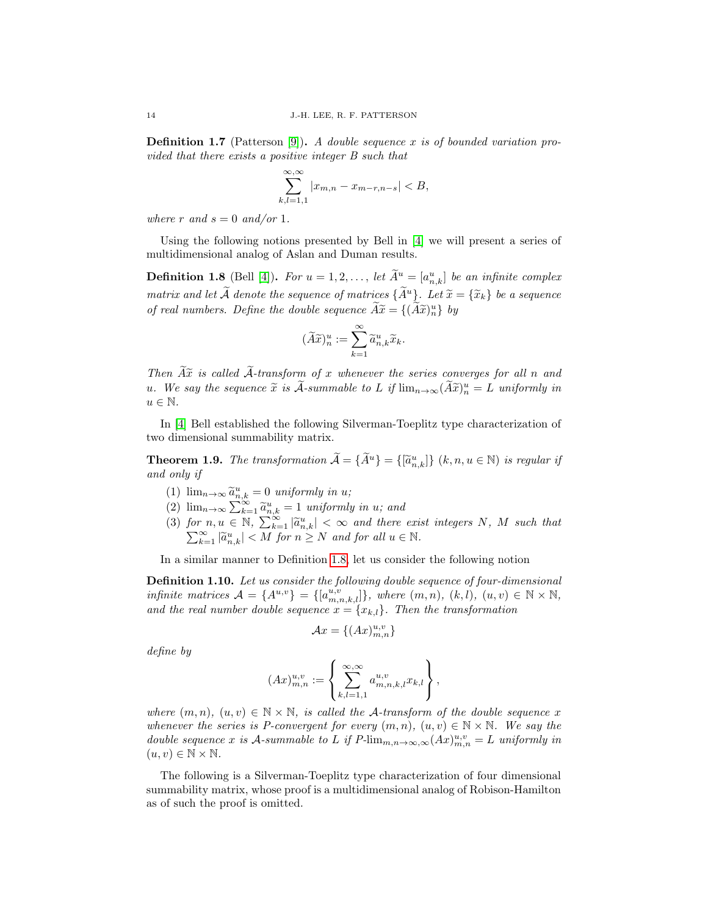**Definition 1.7** (Patterson [\[9\]](#page-11-4)). A double sequence x is of bounded variation provided that there exists a positive integer B such that

$$
\sum_{k,l=1,1}^{\infty,\infty} |x_{m,n} - x_{m-r,n-s}| < B,
$$

where r and  $s = 0$  and/or 1.

Using the following notions presented by Bell in [\[4\]](#page-10-3) we will present a series of multidimensional analog of Aslan and Duman results.

<span id="page-2-0"></span>**Definition 1.8** (Bell [\[4\]](#page-10-3)). For  $u = 1, 2, \ldots$ , let  $\tilde{A}^u = [a^u_{n,k}]$  be an infinite complex matrix and let  $\widetilde{A}$  denote the sequence of matrices  $\{\widetilde{A}^u\}$ . Let  $\widetilde{x} = \{\widetilde{x}_k\}$  be a sequence of real numbers. Define the double sequence  $\widetilde{A}\widetilde{x} = \{(\widetilde{A}\widetilde{x})_{n}^{u}\}\;by$ 

$$
(\widetilde A\widetilde x)^u_n:=\sum_{k=1}^\infty \widetilde a_{n,k}^u\widetilde x_k.
$$

Then  $\widetilde{A}x$  is called  $\widetilde{A}$ -transform of x whenever the series converges for all n and u. We say the sequence  $\widetilde{x}$  is  $\widetilde{A}$ -summable to L if  $\lim_{n\to\infty} (\widetilde{A}\widetilde{x})_n^u = L$  uniformly in  $u \in \mathbb{N}$ .

In [\[4\]](#page-10-3) Bell established the following Silverman-Toeplitz type characterization of two dimensional summability matrix.

**Theorem 1.9.** The transformation  $\widetilde{A} = {\widetilde{A}}^u$  =  ${\{\widetilde{a}}_{n,k}^u\}$   $(k, n, u \in \mathbb{N})$  is regular if and only if

- (1)  $\lim_{n\to\infty} \tilde{a}_{n,k}^u = 0$  uniformly in u;<br>(2)  $\lim_{n\to\infty} \tilde{a}_{n,k}^u = 0$  uniformly in u;
- (2)  $\lim_{n\to\infty} \sum_{k=1}^{\infty} \tilde{a}_{n,k}^u = 1$  uniformly in u; and
- (3) for  $n, u \in \mathbb{N}$ ,  $\sum_{k=1}^{\infty} |\tilde{a}_{n,k}^u| < \infty$  and there exist integers N, M such that  $\sum_{k=1}^{\infty} |\tilde{a}_{n,k}^u| < M$  for  $n \geq N$  and for all  $u \in \mathbb{N}$ .

In a similar manner to Definition [1.8,](#page-2-0) let us consider the following notion

Definition 1.10. Let us consider the following double sequence of four-dimensional infinite matrices  $\mathcal{A} = \{A^{u,v}\} = \{[a_{m,n,k,l}^{u,v}]\},\$  where  $(m,n), (k,l), (u,v) \in \mathbb{N} \times \mathbb{N},$ and the real number double sequence  $x = \{x_{k,l}\}\$ . Then the transformation

$$
\mathcal{A}x = \{(Ax)_{m,n}^{u,v}\}
$$

define by

$$
(Ax)_{m,n}^{u,v} := \left\{ \sum_{k,l=1,1}^{\infty, \infty} a_{m,n,k,l}^{u,v} x_{k,l} \right\},\,
$$

where  $(m, n)$ ,  $(u, v) \in \mathbb{N} \times \mathbb{N}$ , is called the A-transform of the double sequence x whenever the series is P-convergent for every  $(m, n)$ ,  $(u, v) \in \mathbb{N} \times \mathbb{N}$ . We say the double sequence x is A-summable to L if  $P\text{-}\lim_{m,n\to\infty,\infty}(Ax)^{u,v}_{m,n}=L$  uniformly in  $(u, v) \in \mathbb{N} \times \mathbb{N}$ .

The following is a Silverman-Toeplitz type characterization of four dimensional summability matrix, whose proof is a multidimensional analog of Robison-Hamilton as of such the proof is omitted.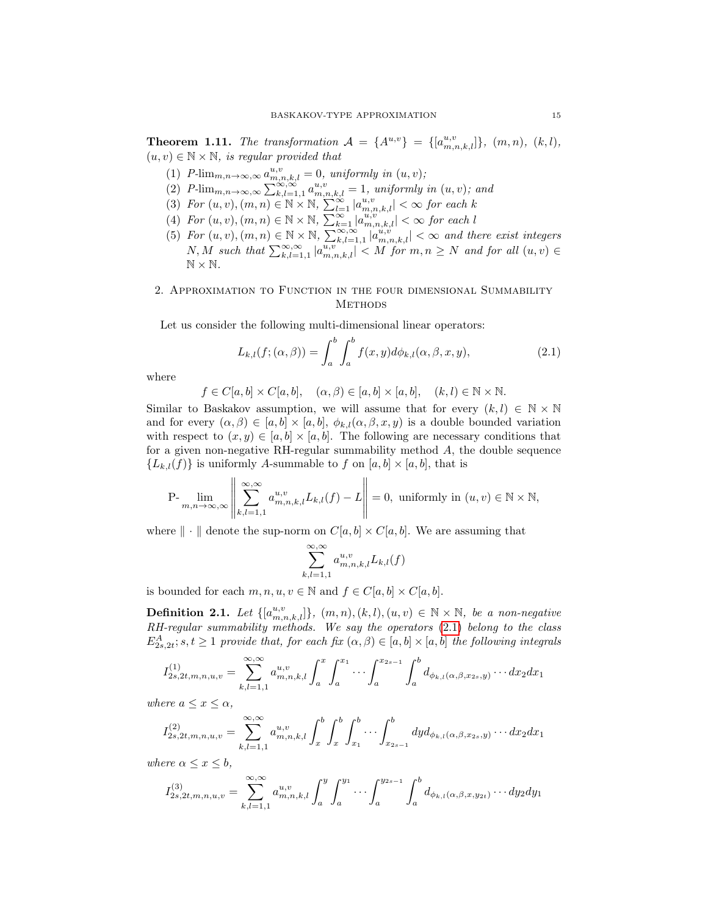**Theorem 1.11.** The transformation  $A = \{A^{u,v}\}\ = \{[a_{m,n,k,l}^{u,v}]\},\ (m,n),\ (k,l),$  $(u, v) \in \mathbb{N} \times \mathbb{N}$ , is regular provided that

- (1)  $P\text{-}\lim_{m,n\to\infty,\infty} a_{m,n,k,l}^{u,v} = 0$ , uniformly in  $(u, v)$ ;
- (2)  $P\text{-}\lim_{m,n\to\infty,\infty}\sum_{k,l=1,1}^{\infty,\infty} a_{m,n,k,l}^{u,v}=1$ , uniformly in  $(u, v)$ ; and
- (3) For  $(u, v), (m, n) \in \mathbb{N} \times \mathbb{N}$ ,  $\sum_{l=1}^{\infty} |a_{m,n,k,l}^{u,v}| < \infty$  for each k
- (4) For  $(u, v), (m, n) \in \mathbb{N} \times \mathbb{N}$ ,  $\sum_{k=1}^{\infty} |a_{m,n,k,l}^{u,v}| < \infty$  for each l
- (5) For  $(u, v), (m, n) \in \mathbb{N} \times \mathbb{N}$ ,  $\sum_{k,l=1,1}^{\infty, \infty} |a_{m,n,k,l}^{u,v}| < \infty$  and there exist integers N, M such that  $\sum_{k,l=1,1}^{\infty,\infty} |a^{u,v}_{m,n,k,l}| < M$  for  $m,n \geq N$  and for all  $(u, v) \in$  $\mathbb{N} \times \mathbb{N}$ .

## 2. Approximation to Function in the four dimensional Summability **METHODS**

Let us consider the following multi-dimensional linear operators:

<span id="page-3-0"></span>
$$
L_{k,l}(f; (\alpha, \beta)) = \int_a^b \int_a^b f(x, y) d\phi_{k,l}(\alpha, \beta, x, y), \qquad (2.1)
$$

where

$$
f \in C[a, b] \times C[a, b], \quad (\alpha, \beta) \in [a, b] \times [a, b], \quad (k, l) \in \mathbb{N} \times \mathbb{N}.
$$

Similar to Baskakov assumption, we will assume that for every  $(k, l) \in \mathbb{N} \times \mathbb{N}$ and for every  $(\alpha, \beta) \in [a, b] \times [a, b]$ ,  $\phi_{k,l}(\alpha, \beta, x, y)$  is a double bounded variation with respect to  $(x, y) \in [a, b] \times [a, b]$ . The following are necessary conditions that for a given non-negative RH-regular summability method  $A$ , the double sequence  ${L_{k,l}(f)}$  is uniformly A-summable to f on  $[a,b] \times [a,b]$ , that is

$$
\mathrm{P-}\lim_{m,n\to\infty,\infty}\left\|\sum_{k,l=1,1}^{\infty,\infty}a_{m,n,k,l}^{u,v}L_{k,l}(f)-L\right\|=0,\text{ uniformly in } (u,v)\in\mathbb{N}\times\mathbb{N},
$$

where  $\|\cdot\|$  denote the sup-norm on  $C[a, b] \times C[a, b]$ . We are assuming that

$$
\sum_{k,l=1,1}^{\infty,\infty} a_{m,n,k,l}^{u,v} L_{k,l}(f)
$$

is bounded for each  $m, n, u, v \in \mathbb{N}$  and  $f \in C[a, b] \times C[a, b]$ .

**Definition 2.1.** Let  $\{[a_{m,n,k,l}^{u,v}]\}, (m,n),(k,l),(u,v) \in \mathbb{N} \times \mathbb{N},$  be a non-negative RH-regular summability methods. We say the operators [\(2.1\)](#page-3-0) belong to the class  $E^A_{2s,2t}$ ; s,  $t \geq 1$  provide that, for each fix  $(\alpha, \beta) \in [a, b] \times [a, b]$  the following integrals

$$
I_{2s,2t,m,n,u,v}^{(1)} = \sum_{k,l=1,1}^{\infty,\infty} a_{m,n,k,l}^{u,v} \int_a^x \int_a^{x_1} \cdots \int_a^{x_{2s-1}} \int_a^b d_{\phi_{k,l}(\alpha,\beta,x_{2s},y)} \cdots dx_2 dx_1
$$

where  $a \leq x \leq \alpha$ ,

$$
I_{2s,2t,m,n,u,v}^{(2)} = \sum_{k,l=1,1}^{\infty,\infty} a_{m,n,k,l}^{u,v} \int_x^b \int_x^b \int_{x_1}^b \cdots \int_{x_{2s-1}}^b dy d_{\phi_{k,l}(\alpha,\beta,x_{2s},y)} \cdots dx_2 dx_1
$$

where  $\alpha \leq x \leq b$ ,

$$
I_{2s,2t,m,n,u,v}^{(3)} = \sum_{k,l=1,1}^{\infty,\infty} a_{m,n,k,l}^{u,v} \int_a^y \int_a^{y_1} \cdots \int_a^{y_{2s-1}} \int_a^b d_{\phi_{k,l}(\alpha,\beta,x,y_{2t})} \cdots dy_2 dy_1
$$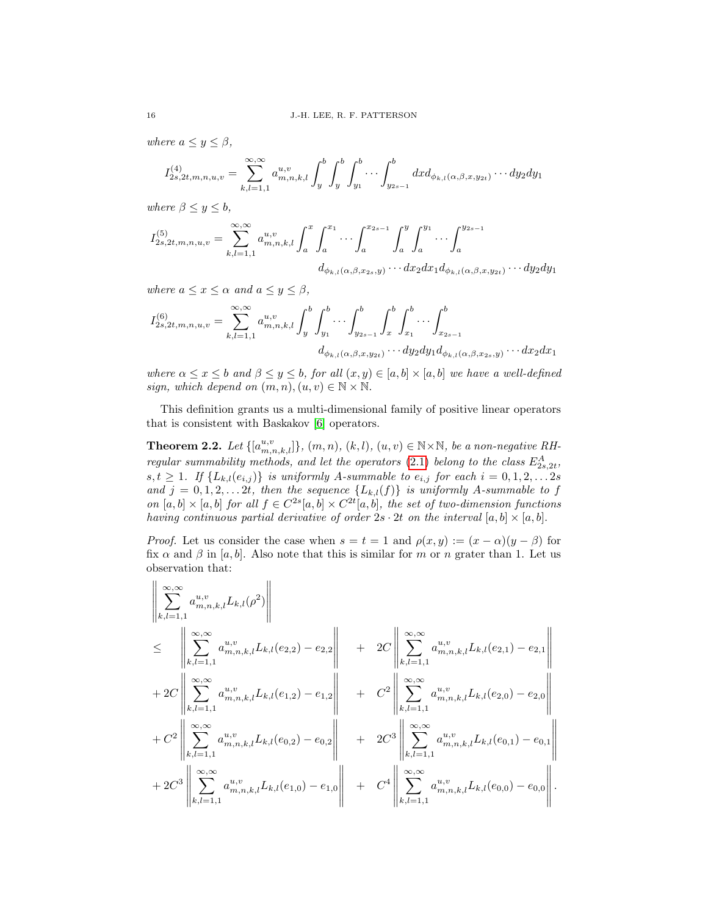where  $a \leq y \leq \beta$ ,

$$
I_{2s,2t,m,n,u,v}^{(4)} = \sum_{k,l=1,1}^{\infty,\infty} a_{m,n,k,l}^{u,v} \int_y^b \int_y^b \int_{y_1}^b \cdots \int_{y_{2s-1}}^b dx d_{\phi_{k,l}(\alpha,\beta,x,y_{2t})} \cdots dy_2 dy_1
$$

where  $\beta \leq y \leq b$ ,

$$
I_{2s,2t,m,n,u,v}^{(5)} = \sum_{k,l=1,1}^{\infty,\infty} a_{m,n,k,l}^{u,v} \int_a^x \int_a^{x_1} \cdots \int_a^{x_{2s-1}} \int_a^y \int_a^{y_1} \cdots \int_a^{y_{2s-1}} \cdots \int_a^{y_{2s-1}}
$$

$$
d_{\phi_{k,l}(\alpha,\beta,x_{2s},y)} \cdots dx_2 dx_1 d_{\phi_{k,l}(\alpha,\beta,x,y_{2t})} \cdots dy_2 dy_1
$$

where  $a \leq x \leq \alpha$  and  $a \leq y \leq \beta$ ,

$$
I_{2s,2t,m,n,u,v}^{(6)} = \sum_{k,l=1,1}^{\infty,\infty} a_{m,n,k,l}^{u,v} \int_y^b \int_{y_1}^b \cdots \int_y^b \int_{y_{2s-1}}^b \int_x^b \int_{x_1}^b \cdots \int_{x_{2s-1}}^b
$$

$$
d_{\phi_{k,l}(\alpha,\beta,x,y_{2t})} \cdots dy_2 dy_1 d_{\phi_{k,l}(\alpha,\beta,x_{2s},y)} \cdots dx_2 dx_1
$$

where  $\alpha \leq x \leq b$  and  $\beta \leq y \leq b$ , for all  $(x, y) \in [a, b] \times [a, b]$  we have a well-defined sign, which depend on  $(m, n), (u, v) \in \mathbb{N} \times \mathbb{N}$ .

This definition grants us a multi-dimensional family of positive linear operators that is consistent with Baskakov [\[6\]](#page-10-4) operators.

<span id="page-4-0"></span>**Theorem 2.2.** Let  $\{[a_{m,n,k,l}^{u,v}]\}, (m,n), (k,l), (u,v) \in \mathbb{N} \times \mathbb{N}$ , be a non-negative RH-regular summability methods, and let the operators [\(2.1\)](#page-3-0) belong to the class  $E_{2s,2t}^A$ ,  $s, t \geq 1$ . If  $\{L_{k,l}(e_{i,j})\}$  is uniformly A-summable to  $e_{i,j}$  for each  $i = 0, 1, 2, \ldots 2s$ and  $j = 0, 1, 2, \ldots, 2t$ , then the sequence  $\{L_{k,l}(f)\}\$ is uniformly A-summable to f on  $[a, b] \times [a, b]$  for all  $f \in C^{2s}[a, b] \times C^{2t}[a, b]$ , the set of two-dimension functions having continuous partial derivative of order  $2s \cdot 2t$  on the interval  $[a, b] \times [a, b]$ .

*Proof.* Let us consider the case when  $s = t = 1$  and  $\rho(x, y) := (x - \alpha)(y - \beta)$  for fix  $\alpha$  and  $\beta$  in [a, b]. Also note that this is similar for m or n grater than 1. Let us observation that:

$$
\begin{split}\n&\left\|\sum_{k,l=1,1}^{\infty,\infty} a_{m,n,k,l}^{u,v} L_{k,l}(\rho^{2})\right\| \\
&\leq \left\|\sum_{k,l=1,1}^{\infty} a_{m,n,k,l}^{u,v} L_{k,l}(e_{2,2}) - e_{2,2}\right\| + 2C\left\|\sum_{k,l=1,1}^{\infty,\infty} a_{m,n,k,l}^{u,v} L_{k,l}(e_{2,1}) - e_{2,1}\right\| \\
&+ 2C\left\|\sum_{k,l=1,1}^{\infty,\infty} a_{m,n,k,l}^{u,v} L_{k,l}(e_{1,2}) - e_{1,2}\right\| + C^{2}\left\|\sum_{k,l=1,1}^{\infty,\infty} a_{m,n,k,l}^{u,v} L_{k,l}(e_{2,0}) - e_{2,0}\right\| \\
&+ C^{2}\left\|\sum_{k,l=1,1}^{\infty,\infty} a_{m,n,k,l}^{u,v} L_{k,l}(e_{0,2}) - e_{0,2}\right\| + 2C^{3}\left\|\sum_{k,l=1,1}^{\infty,\infty} a_{m,n,k,l}^{u,v} L_{k,l}(e_{0,1}) - e_{0,1}\right\| \\
&+ 2C^{3}\left\|\sum_{k,l=1,1}^{\infty,\infty} a_{m,n,k,l}^{u,v} L_{k,l}(e_{1,0}) - e_{1,0}\right\| + C^{4}\left\|\sum_{k,l=1,1}^{\infty,\infty} a_{m,n,k,l}^{u,v} L_{k,l}(e_{0,0}) - e_{0,0}\right\|.\n\end{split}
$$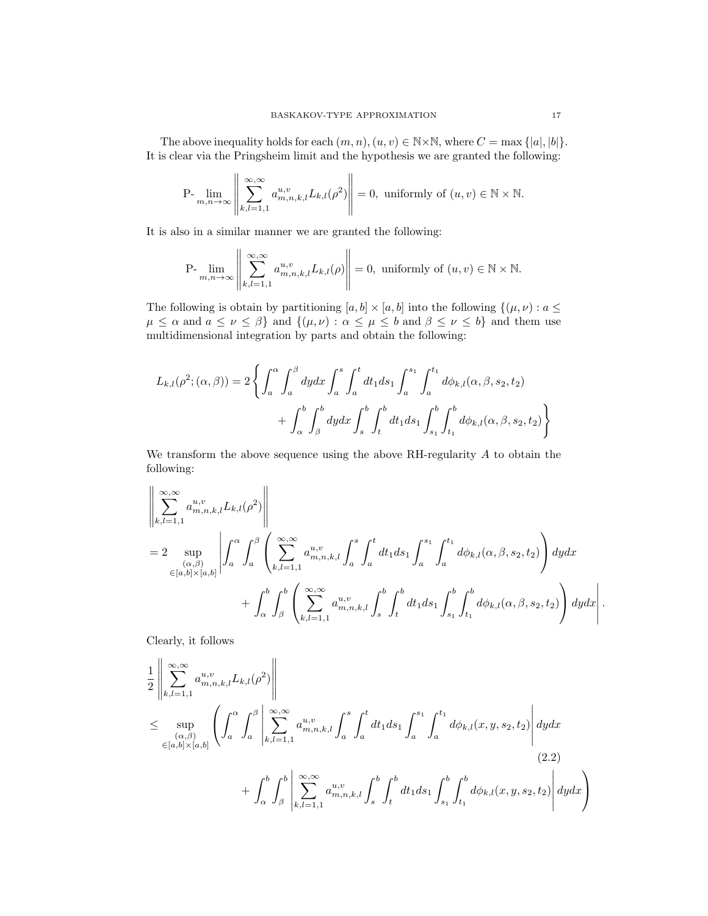The above inequality holds for each  $(m, n), (u, v) \in \mathbb{N} \times \mathbb{N}$ , where  $C = \max\{|a|, |b|\}$ . It is clear via the Pringsheim limit and the hypothesis we are granted the following:

$$
\mathrm{P-}\lim_{m,n\to\infty}\left\|\sum_{k,l=1,1}^{\infty,\infty}a_{m,n,k,l}^{u,v}L_{k,l}(\rho^2)\right\|=0,\text{ uniformly of } (u,v)\in\mathbb{N}\times\mathbb{N}.
$$

It is also in a similar manner we are granted the following:

$$
\text{P-}\lim_{m,n\to\infty}\left\|\sum_{k,l=1,1}^{\infty,\infty}a_{m,n,k,l}^{u,v}L_{k,l}(\rho)\right\|=0,\text{ uniformly of } (u,v)\in\mathbb{N}\times\mathbb{N}.
$$

The following is obtain by partitioning  $[a, b] \times [a, b]$  into the following  $\{(\mu, \nu) : a \leq \nu\}$  $\mu \leq \alpha$  and  $a \leq \nu \leq \beta$  and  $\{(\mu, \nu) : \alpha \leq \mu \leq b \}$  and  $\beta \leq \nu \leq b\}$  and them use multidimensional integration by parts and obtain the following:

$$
L_{k,l}(\rho^2; (\alpha, \beta)) = 2 \left\{ \int_a^{\alpha} \int_a^{\beta} dy dx \int_a^s \int_a^t dt_1 ds_1 \int_a^{s_1} \int_a^{t_1} d\phi_{k,l}(\alpha, \beta, s_2, t_2) + \int_{\alpha}^b \int_{\beta}^b dy dx \int_s^b \int_t^b dt_1 ds_1 \int_{s_1}^b \int_{t_1}^b d\phi_{k,l}(\alpha, \beta, s_2, t_2) \right\}
$$

We transform the above sequence using the above  $R$ H-regularity  $A$  to obtain the following:

$$
\left\| \sum_{k,l=1,1}^{\infty,\infty} a_{m,n,k,l}^{u,v} L_{k,l}(\rho^2) \right\|
$$
  
= 2 
$$
\sup_{(\alpha,\beta)} \left\| \int_a^{\alpha} \int_a^{\beta} \left( \sum_{k,l=1,1}^{\infty,\infty} a_{m,n,k,l}^{u,v} \int_a^s \int_a^t dt_1 ds_1 \int_a^{s_1} \int_a^{t_1} d\phi_{k,l}(\alpha,\beta,s_2,t_2) \right) dy dx + \int_a^b \int_\beta^b \left( \sum_{k,l=1,1}^{\infty,\infty} a_{m,n,k,l}^{u,v} \int_s^b \int_t^b dt_1 ds_1 \int_{s_1}^b \int_{t_1}^b d\phi_{k,l}(\alpha,\beta,s_2,t_2) \right) dy dx \right\|
$$

Clearly, it follows

$$
\frac{1}{2} \left\| \sum_{k,l=1,1}^{\infty,\infty} a_{m,n,k,l}^{u,v} L_{k,l}(\rho^2) \right\|
$$
\n
$$
\leq \sup_{\substack{(\alpha,\beta) \\ \in [a,b] \times [a,b]}} \left( \int_a^{\alpha} \int_a^{\beta} \left| \sum_{k,l=1,1}^{\infty,\infty} a_{m,n,k,l}^{u,v} \int_a^s \int_a^t dt_1 ds_1 \int_a^{s_1} \int_a^{t_1} d\phi_{k,l}(x,y,s_2,t_2) \right| dy dx
$$
\n
$$
+ \int_{\alpha}^b \int_{\beta}^b \left| \sum_{k,l=1,1}^{\infty,\infty} a_{m,n,k,l}^{u,v} \int_s^b \int_t^b dt_1 ds_1 \int_{s_1}^b \int_{t_1}^b d\phi_{k,l}(x,y,s_2,t_2) \right| dy dx \right)
$$
\n(2.2)

<span id="page-5-0"></span>.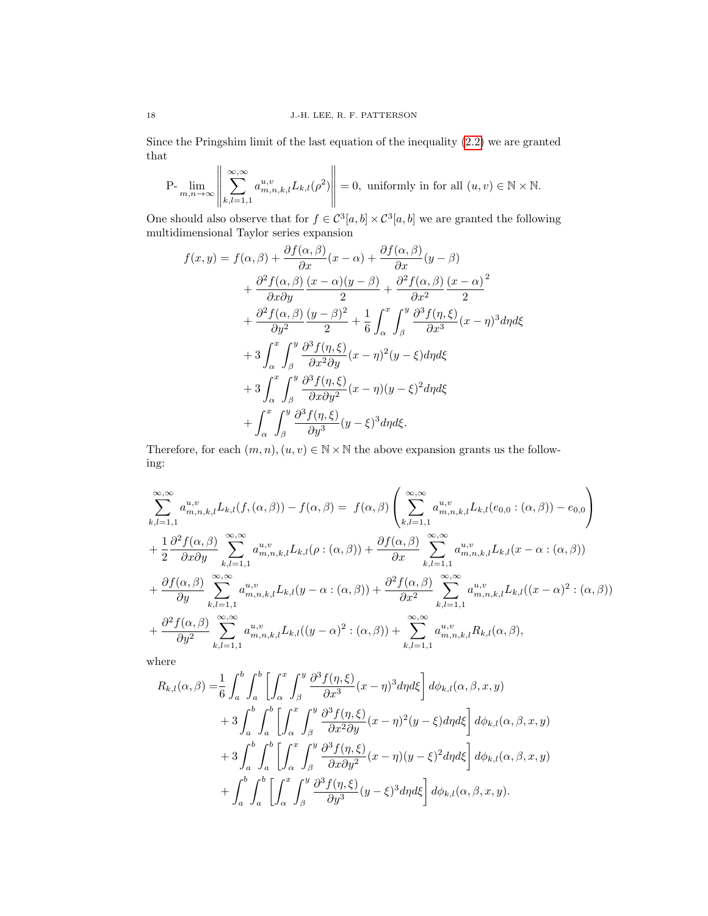Since the Pringshim limit of the last equation of the inequality [\(2.2\)](#page-5-0) we are granted that  $\overline{11}$  $\mathbf{u}$ 

$$
\mathrm{P-}\lim_{m,n\to\infty}\left\|\sum_{k,l=1,1}^{\infty,\infty}a_{m,n,k,l}^{u,v}L_{k,l}(\rho^2)\right\|=0,\text{ uniformly in for all } (u,v)\in\mathbb{N}\times\mathbb{N}.
$$

One should also observe that for  $f \in C^3[a, b] \times C^3[a, b]$  we are granted the following multidimensional Taylor series expansion

$$
f(x,y) = f(\alpha,\beta) + \frac{\partial f(\alpha,\beta)}{\partial x}(x-\alpha) + \frac{\partial f(\alpha,\beta)}{\partial x}(y-\beta)
$$
  
+ 
$$
\frac{\partial^2 f(\alpha,\beta)}{\partial x \partial y} \frac{(x-\alpha)(y-\beta)}{2} + \frac{\partial^2 f(\alpha,\beta)}{\partial x^2} \frac{(x-\alpha)^2}{2}
$$
  
+ 
$$
\frac{\partial^2 f(\alpha,\beta)}{\partial y^2} \frac{(y-\beta)^2}{2} + \frac{1}{6} \int_{\alpha}^x \int_{\beta}^y \frac{\partial^3 f(\eta,\xi)}{\partial x^3} (x-\eta)^3 d\eta d\xi
$$
  
+ 
$$
3 \int_{\alpha}^x \int_{\beta}^y \frac{\partial^3 f(\eta,\xi)}{\partial x^2 \partial y} (x-\eta)^2 (y-\xi) d\eta d\xi
$$
  
+ 
$$
3 \int_{\alpha}^x \int_{\beta}^y \frac{\partial^3 f(\eta,\xi)}{\partial x \partial y^2} (x-\eta)(y-\xi)^2 d\eta d\xi
$$
  
+ 
$$
\int_{\alpha}^x \int_{\beta}^y \frac{\partial^3 f(\eta,\xi)}{\partial y \partial y^3} (y-\xi)^3 d\eta d\xi.
$$

Therefore, for each  $(m, n), (u, v) \in \mathbb{N} \times \mathbb{N}$  the above expansion grants us the following:

$$
\sum_{k,l=1,1}^{\infty,\infty} a_{m,n,k,l}^{u,v} L_{k,l}(f, (\alpha, \beta)) - f(\alpha, \beta) = f(\alpha, \beta) \left( \sum_{k,l=1,1}^{\infty,\infty} a_{m,n,k,l}^{u,v} L_{k,l}(e_{0,0} : (\alpha, \beta)) - e_{0,0} \right)
$$
  
+ 
$$
\frac{1}{2} \frac{\partial^2 f(\alpha, \beta)}{\partial x \partial y} \sum_{k,l=1,1}^{\infty,\infty} a_{m,n,k,l}^{u,v} L_{k,l}(\rho : (\alpha, \beta)) + \frac{\partial f(\alpha, \beta)}{\partial x} \sum_{k,l=1,1}^{\infty,\infty} a_{m,n,k,l}^{u,v} L_{k,l}(x - \alpha : (\alpha, \beta))
$$
  
+ 
$$
\frac{\partial f(\alpha, \beta)}{\partial y} \sum_{k,l=1,1}^{\infty,\infty} a_{m,n,k,l}^{u,v} L_{k,l}(y - \alpha : (\alpha, \beta)) + \frac{\partial^2 f(\alpha, \beta)}{\partial x^2} \sum_{k,l=1,1}^{\infty,\infty} a_{m,n,k,l}^{u,v} L_{k,l}((x - \alpha)^2 : (\alpha, \beta))
$$
  
+ 
$$
\frac{\partial^2 f(\alpha, \beta)}{\partial y^2} \sum_{k,l=1,1}^{\infty,\infty} a_{m,n,k,l}^{u,v} L_{k,l}((y - \alpha)^2 : (\alpha, \beta)) + \sum_{k,l=1,1}^{\infty,\infty} a_{m,n,k,l}^{u,v} R_{k,l}(\alpha, \beta),
$$

where

$$
R_{k,l}(\alpha,\beta) = \frac{1}{6} \int_a^b \int_a^b \left[ \int_\alpha^x \int_\beta^y \frac{\partial^3 f(\eta,\xi)}{\partial x^3} (x-\eta)^3 d\eta d\xi \right] d\phi_{k,l}(\alpha,\beta,x,y)
$$
  
+ 
$$
3 \int_a^b \int_a^b \left[ \int_\alpha^x \int_\beta^y \frac{\partial^3 f(\eta,\xi)}{\partial x^2 \partial y} (x-\eta)^2 (y-\xi) d\eta d\xi \right] d\phi_{k,l}(\alpha,\beta,x,y)
$$
  
+ 
$$
3 \int_a^b \int_a^b \left[ \int_\alpha^x \int_\beta^y \frac{\partial^3 f(\eta,\xi)}{\partial x \partial y^2} (x-\eta)(y-\xi)^2 d\eta d\xi \right] d\phi_{k,l}(\alpha,\beta,x,y)
$$
  
+ 
$$
\int_a^b \int_a^b \left[ \int_\alpha^x \int_\beta^y \frac{\partial^3 f(\eta,\xi)}{\partial y^3} (y-\xi)^3 d\eta d\xi \right] d\phi_{k,l}(\alpha,\beta,x,y).
$$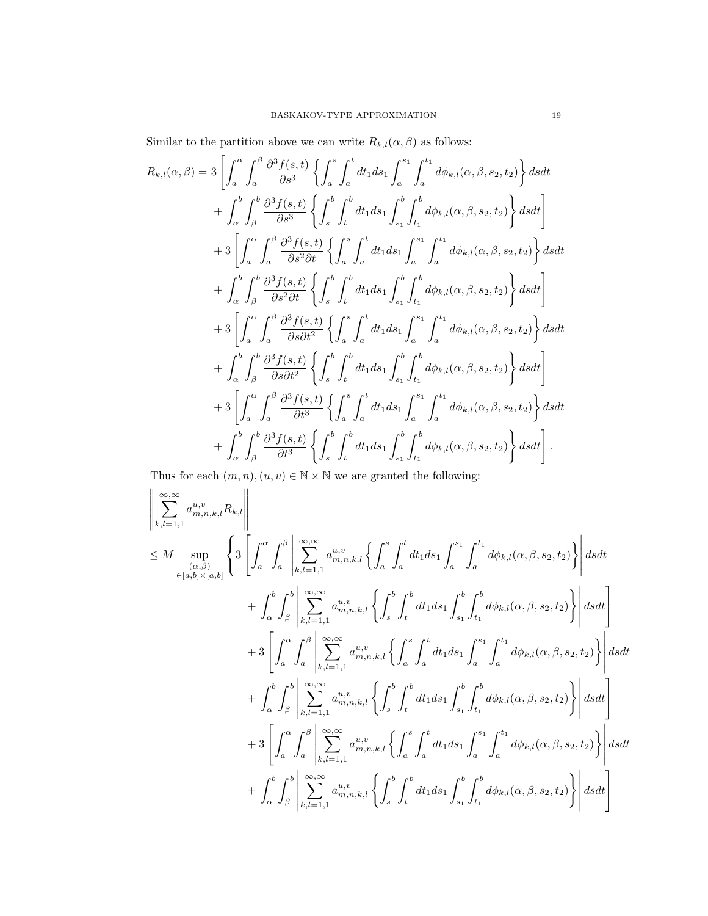Similar to the partition above we can write  $R_{k,l}(\alpha,\beta)$  as follows:

$$
R_{k,l}(\alpha,\beta) = 3\left[\int_{a}^{\alpha} \int_{a}^{\beta} \frac{\partial^{3} f(s,t)}{\partial s^{3}} \left\{ \int_{a}^{s} \int_{a}^{t} dt_{1} ds_{1} \int_{a}^{s_{1}} \int_{a}^{t_{1}} d\phi_{k,l}(\alpha,\beta,s_{2},t_{2}) \right\} ds dt + \int_{\alpha}^{b} \int_{\beta}^{b} \frac{\partial^{3} f(s,t)}{\partial s^{3}} \left\{ \int_{s}^{b} \int_{t}^{b} dt_{1} ds_{1} \int_{s_{1}}^{b} \int_{t_{1}}^{b} d\phi_{k,l}(\alpha,\beta,s_{2},t_{2}) \right\} ds dt \right] + 3\left[\int_{a}^{\alpha} \int_{a}^{\beta} \frac{\partial^{3} f(s,t)}{\partial s^{2} \partial t} \left\{ \int_{a}^{s} \int_{a}^{t} dt_{1} ds_{1} \int_{a}^{s_{1}} \int_{a}^{t_{1}} d\phi_{k,l}(\alpha,\beta,s_{2},t_{2}) \right\} ds dt \right] + \int_{\alpha}^{b} \int_{\beta}^{b} \frac{\partial^{3} f(s,t)}{\partial s^{2} \partial t} \left\{ \int_{s}^{b} \int_{t}^{b} dt_{1} ds_{1} \int_{s_{1}}^{b} \int_{t_{1}}^{b} d\phi_{k,l}(\alpha,\beta,s_{2},t_{2}) \right\} ds dt \right] + 3\left[\int_{a}^{\alpha} \int_{a}^{\beta} \frac{\partial^{3} f(s,t)}{\partial s \partial t^{2}} \left\{ \int_{a}^{s} \int_{a}^{t} dt_{1} ds_{1} \int_{a}^{s_{1}} \int_{a}^{t_{1}} d\phi_{k,l}(\alpha,\beta,s_{2},t_{2}) \right\} ds dt \right] + \int_{\alpha}^{b} \int_{\beta}^{b} \frac{\partial^{3} f(s,t)}{\partial s \partial t^{2}} \left\{ \int_{s}^{b} \int_{t}^{b} dt_{1} ds_{1} \int_{s_{1}}^{b} \int_{t_{1}}^{b} d\phi_{k,l}(\alpha,\beta,s_{2},t_{2}) \right\} ds dt \right] + 3\left[\int_{a}^{\alpha} \int_{a}^{\beta} \frac{\partial^{3} f(s,t)}{\partial t^{3}} \left
$$

Thus for each  $(m,n),(u,v)\in\mathbb{N}\times\mathbb{N}$  we are granted the following:

$$
\left\| \sum_{k,l=1,1}^{\infty,\infty} a_{m,n,k,l}^{u,v} R_{k,l} \right\|
$$
\n
$$
\leq M \sup_{(\alpha,\beta)} \left\{ 3 \left[ \int_a^{\alpha} \int_a^{\beta} \left| \sum_{k,l=1,1}^{\infty,\infty} a_{m,n,k,l}^{u,v} \left\{ \int_a^s \int_a^t dt_1 ds_1 \int_a^{s_1} \int_a^{t_1} d\phi_{k,l}(\alpha,\beta,s_2,t_2) \right\} \right| ds dt + \int_a^b \int_\beta^b \left| \sum_{k,l=1,1}^{\infty,\infty} a_{m,n,k,l}^{u,v} \left\{ \int_s^b \int_t^b dt_1 ds_1 \int_{s_1}^b \int_{t_1}^b d\phi_{k,l}(\alpha,\beta,s_2,t_2) \right\} \right| ds dt \right\}
$$
\n
$$
+ 3 \left[ \int_a^{\alpha} \int_a^{\beta} \left| \sum_{k,l=1,1}^{\infty,\infty} a_{m,n,k,l}^{u,v} \left\{ \int_a^s \int_a^t dt_1 ds_1 \int_a^{s_1} \int_a^{t_1} d\phi_{k,l}(\alpha,\beta,s_2,t_2) \right\} \right| ds dt \right]
$$
\n
$$
+ \int_\alpha^b \int_\beta^b \left| \sum_{k,l=1,1}^{\infty,\infty} a_{m,n,k,l}^{u,v} \left\{ \int_s^b \int_t^b dt_1 ds_1 \int_{s_1}^b \int_t^b d\phi_{k,l}(\alpha,\beta,s_2,t_2) \right\} \right| ds dt
$$
\n
$$
+ 3 \left[ \int_a^{\alpha} \int_\beta^{\beta} \left| \sum_{k,l=1,1}^{\infty,\infty} a_{m,n,k,l}^{u,v} \left\{ \int_s^b \int_t^b dt_1 ds_1 \int_{s_1}^{s_1} \int_t^b d\phi_{k,l}(\alpha,\beta,s_2,t_2) \right\} \right| ds dt \right]
$$
\n
$$
+ \int_a^b \int_\beta^b \left| \sum_{k,l=1,1}^{\infty,\infty} a_{m,n,k,l}^{u,v} \left\{ \int_s^b \int_t^b dt_1 ds_1 \int_a^{s_1} \int_a^{t_1} d\phi_{k
$$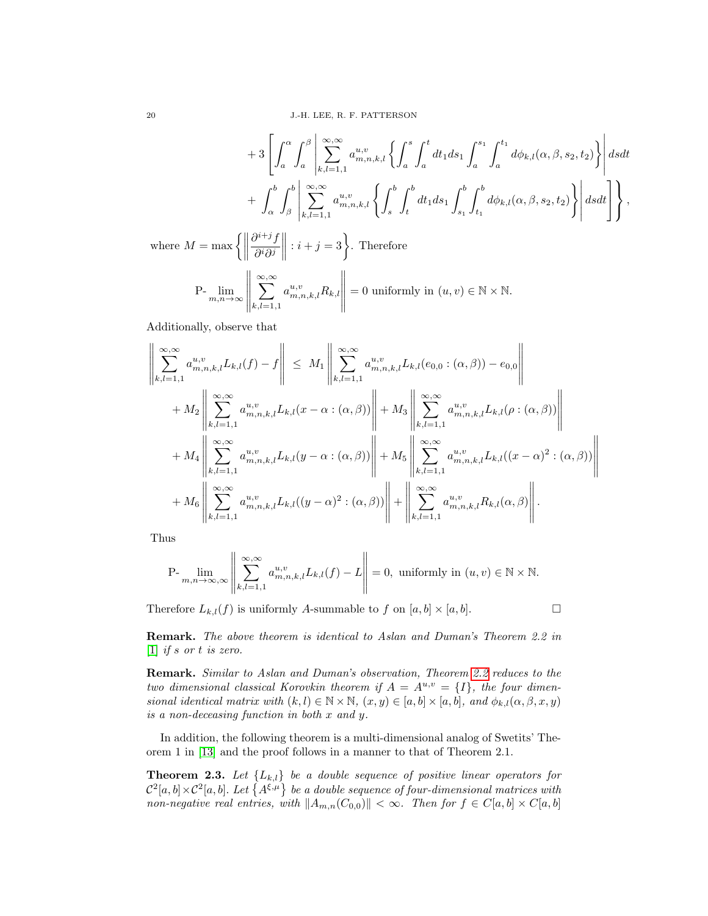$$
+ 3 \left[ \int_{a}^{\alpha} \int_{a}^{\beta} \left| \sum_{k,l=1,1}^{\infty, \infty} a_{m,n,k,l}^{u,v} \left\{ \int_{a}^{s} \int_{a}^{t} dt_{1} ds_{1} \int_{a}^{s_{1}} \int_{a}^{t_{1}} d\phi_{k,l}(\alpha, \beta, s_{2}, t_{2}) \right\} \right| ds dt + \int_{\alpha}^{b} \int_{\beta}^{b} \left| \sum_{k,l=1,1}^{\infty, \infty} a_{m,n,k,l}^{u,v} \left\{ \int_{s}^{b} \int_{t}^{b} dt_{1} ds_{1} \int_{s_{1}}^{b} \int_{t_{1}}^{b} d\phi_{k,l}(\alpha, \beta, s_{2}, t_{2}) \right\} \right| ds dt \right],
$$

where  $M = \max \left\{ \left\| \right. \right\}$  $\partial^{i+j}f$  $\partial^i\partial^j$  $\begin{array}{c} \hline \end{array}$ :  $i + j = 3$ . Therefore

$$
\text{P-}\lim_{m,n\to\infty}\left\|\sum_{k,l=1,1}^{\infty,\infty}a_{m,n,k,l}^{u,v}R_{k,l}\right\|=0\text{ uniformly in } (u,v)\in\mathbb{N}\times\mathbb{N}.
$$

Additionally, observe that

$$
\left\| \sum_{k,l=1,1}^{\infty,\infty} a_{m,n,k,l}^{u,v} L_{k,l}(f) - f \right\| \leq M_1 \left\| \sum_{k,l=1,1}^{\infty,\infty} a_{m,n,k,l}^{u,v} L_{k,l}(e_{0,0} : (\alpha, \beta)) - e_{0,0} \right\| + M_2 \left\| \sum_{k,l=1,1}^{\infty,\infty} a_{m,n,k,l}^{u,v} L_{k,l}(x - \alpha : (\alpha, \beta)) \right\| + M_3 \left\| \sum_{k,l=1,1}^{\infty,\infty} a_{m,n,k,l}^{u,v} L_{k,l}(\rho : (\alpha, \beta)) \right\| + M_4 \left\| \sum_{k,l=1,1}^{\infty,\infty} a_{m,n,k,l}^{u,v} L_{k,l}(y - \alpha : (\alpha, \beta)) \right\| + M_5 \left\| \sum_{k,l=1,1}^{\infty,\infty} a_{m,n,k,l}^{u,v} L_{k,l}((x - \alpha)^2 : (\alpha, \beta)) \right\| + M_6 \left\| \sum_{k,l=1,1}^{\infty,\infty} a_{m,n,k,l}^{u,v} L_{k,l}((y - \alpha)^2 : (\alpha, \beta)) \right\| + \left\| \sum_{k,l=1,1}^{\infty,\infty} a_{m,n,k,l}^{u,v} R_{k,l}(\alpha, \beta) \right\|.
$$

Thus

$$
\mathrm{P-}\lim_{m,n\to\infty,\infty}\left\|\sum_{k,l=1,1}^{\infty,\infty}a_{m,n,k,l}^{u,v}L_{k,l}(f)-L\right\|=0,\text{ uniformly in } (u,v)\in\mathbb{N}\times\mathbb{N}.
$$

Therefore  $L_{k,l}(f)$  is uniformly A-summable to f on  $[a,b] \times [a,b]$ .

Remark. The above theorem is identical to Aslan and Duman's Theorem 2.2 in [\[1\]](#page-10-5) if s or t is zero.

Remark. Similar to Aslan and Duman's observation, Theorem [2.2](#page-4-0) reduces to the two dimensional classical Korovkin theorem if  $A = A^{u,v} = \{I\}$ , the four dimensional identical matrix with  $(k, l) \in \mathbb{N} \times \mathbb{N}$ ,  $(x, y) \in [a, b] \times [a, b]$ , and  $\phi_{k,l}(\alpha, \beta, x, y)$ is a non-deceasing function in both x and y.

In addition, the following theorem is a multi-dimensional analog of Swetits' Theorem 1 in [\[13\]](#page-11-5) and the proof follows in a manner to that of Theorem 2.1.

**Theorem 2.3.** Let  $\{L_{k,l}\}\$  be a double sequence of positive linear operators for  $\mathcal{C}^2[a,b]\times\mathcal{C}^2[a,b]$ . Let  $\{A^{\xi,\mu}\}\,$  be a double sequence of four-dimensional matrices with non-negative real entries, with  $||A_{m,n}(C_{0,0})|| < \infty$ . Then for  $f \in C[a,b] \times C[a,b]$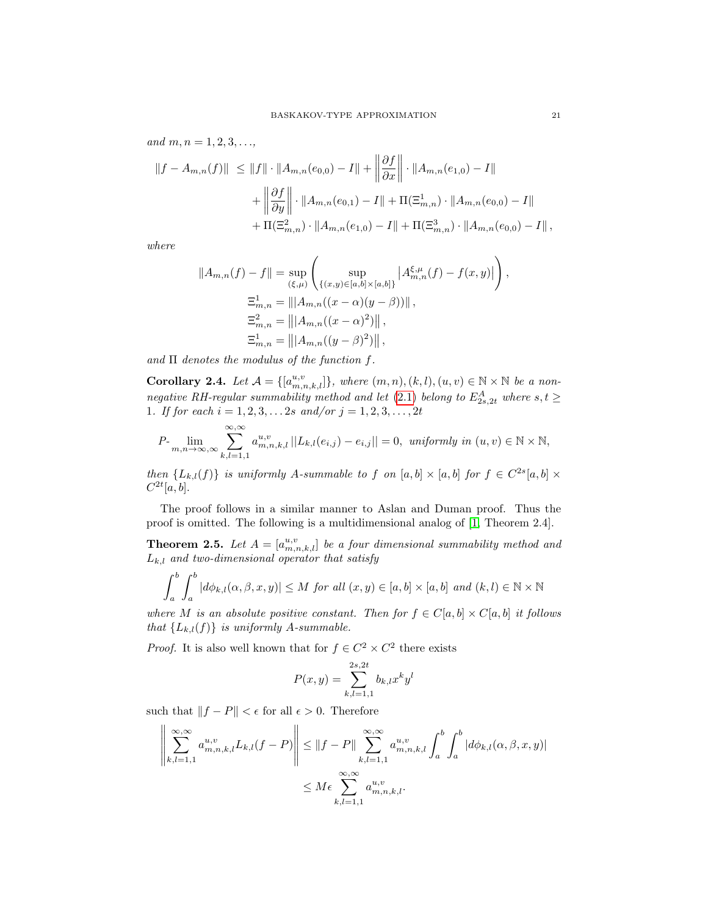and  $m, n = 1, 2, 3, \ldots$ 

$$
||f - A_{m,n}(f)|| \le ||f|| \cdot ||A_{m,n}(e_{0,0}) - I|| + \left\|\frac{\partial f}{\partial x}\right\| \cdot ||A_{m,n}(e_{1,0}) - I||
$$
  
+ 
$$
\left\|\frac{\partial f}{\partial y}\right\| \cdot ||A_{m,n}(e_{0,1}) - I|| + \Pi(\Xi_{m,n}^1) \cdot ||A_{m,n}(e_{0,0}) - I||
$$
  
+ 
$$
\Pi(\Xi_{m,n}^2) \cdot ||A_{m,n}(e_{1,0}) - I|| + \Pi(\Xi_{m,n}^3) \cdot ||A_{m,n}(e_{0,0}) - I||,
$$

where

$$
||A_{m,n}(f) - f|| = \sup_{(\xi,\mu)} \left( \sup_{\{(x,y)\in[a,b]\times[a,b]\}} |A_{m,n}^{\xi,\mu}(f) - f(x,y)| \right),
$$
  
\n
$$
\Xi_{m,n}^1 = |||A_{m,n}((x-\alpha)(y-\beta))||,
$$
  
\n
$$
\Xi_{m,n}^2 = |||A_{m,n}((x-\alpha)^2)||,
$$
  
\n
$$
\Xi_{m,n}^1 = |||A_{m,n}((y-\beta)^2)||,
$$

and  $\Pi$  denotes the modulus of the function f.

Corollary 2.4. Let  $\mathcal{A} = \{[a_{m,n,k,l}^{u,v}]\},\$  where  $(m,n),(k,l),(u,v) \in \mathbb{N} \times \mathbb{N}$  be a non-negative RH-regular summability method and let [\(2.1\)](#page-3-0) belong to  $E^{A}_{2s,2t}$  where  $s,t \geq$ 1. If for each  $i = 1, 2, 3, \ldots 2s$  and/or  $j = 1, 2, 3, \ldots, 2t$ 

$$
P\text{-}\lim_{m,n\to\infty,\infty}\sum_{k,l=1,1}^{\infty,\infty}a_{m,n,k,l}^{u,v}\left|\left|L_{k,l}(e_{i,j})-e_{i,j}\right|\right|=0,\text{ uniformly in }(u,v)\in\mathbb{N}\times\mathbb{N},
$$

then  ${L_{k,l}(f)}$  is uniformly A-summable to f on  $[a,b] \times [a,b]$  for  $f \in C^{2s}[a,b] \times$  $C^{2t}[a, b].$ 

The proof follows in a similar manner to Aslan and Duman proof. Thus the proof is omitted. The following is a multidimensional analog of [\[1,](#page-10-5) Theorem 2.4].

**Theorem 2.5.** Let  $A = [a_{m,n,k,l}^{u,v}]$  be a four dimensional summability method and  $L_{k,l}$  and two-dimensional operator that satisfy

$$
\int_{a}^{b} \int_{a}^{b} |d\phi_{k,l}(\alpha,\beta,x,y)| \leq M \text{ for all } (x,y) \in [a,b] \times [a,b] \text{ and } (k,l) \in \mathbb{N} \times \mathbb{N}
$$

where M is an absolute positive constant. Then for  $f \in C[a, b] \times C[a, b]$  it follows that  $\{L_{k,l}(f)\}\$ is uniformly A-summable.

*Proof.* It is also well known that for  $f \in C^2 \times C^2$  there exists

$$
P(x,y) = \sum_{k,l=1,1}^{2s,2t} b_{k,l} x^k y^l
$$

such that  $||f - P|| < \epsilon$  for all  $\epsilon > 0$ . Therefore

$$
\left\| \sum_{k,l=1,1}^{\infty,\infty} a_{m,n,k,l}^{u,v} L_{k,l}(f-P) \right\| \leq \|f-P\| \sum_{k,l=1,1}^{\infty,\infty} a_{m,n,k,l}^{u,v} \int_a^b \int_a^b |d\phi_{k,l}(\alpha,\beta,x,y)|
$$
  

$$
\leq M\epsilon \sum_{k,l=1,1}^{\infty,\infty} a_{m,n,k,l}^{u,v}.
$$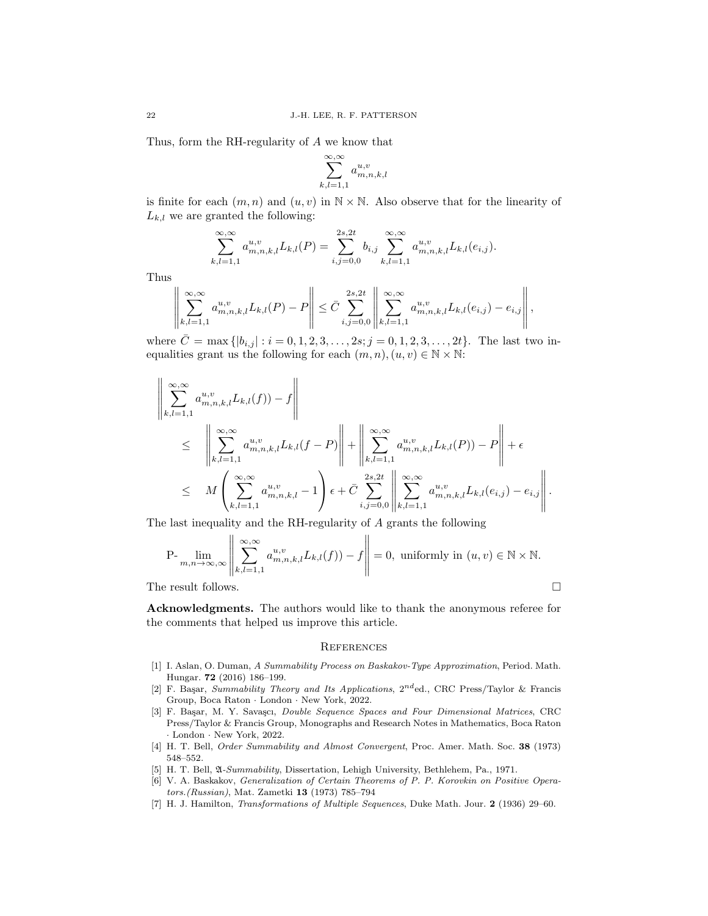Thus, form the RH-regularity of A we know that

$$
\sum_{k,l=1,1}^{\infty,\infty} a_{m,n,k,l}^{u,v}
$$

is finite for each  $(m, n)$  and  $(u, v)$  in  $\mathbb{N} \times \mathbb{N}$ . Also observe that for the linearity of  $L_{k,l}$  we are granted the following:

$$
\sum_{k,l=1,1}^{\infty,\infty} a_{m,n,k,l}^{u,v} L_{k,l}(P) = \sum_{i,j=0,0}^{2s,2t} b_{i,j} \sum_{k,l=1,1}^{\infty,\infty} a_{m,n,k,l}^{u,v} L_{k,l}(e_{i,j}).
$$

Thus

$$
\left\| \sum_{k,l=1,1}^{\infty,\infty} a_{m,n,k,l}^{u,v} L_{k,l}(P) - P \right\| \leq \bar{C} \sum_{i,j=0,0}^{2s,2t} \left\| \sum_{k,l=1,1}^{\infty,\infty} a_{m,n,k,l}^{u,v} L_{k,l}(e_{i,j}) - e_{i,j} \right\|,
$$

where  $\bar{C} = \max\{|b_{i,j}| : i = 0, 1, 2, 3, \ldots, 2s; j = 0, 1, 2, 3, \ldots, 2t\}.$  The last two inequalities grant us the following for each  $(m, n), (u, v) \in \mathbb{N} \times \mathbb{N}$ :

$$
\left\| \sum_{k,l=1,1}^{\infty, \infty} a_{m,n,k,l}^{u,v} L_{k,l}(f) - f \right\|
$$
\n
$$
\leq \left\| \sum_{k,l=1,1}^{\infty, \infty} a_{m,n,k,l}^{u,v} L_{k,l}(f - P) \right\| + \left\| \sum_{k,l=1,1}^{\infty, \infty} a_{m,n,k,l}^{u,v} L_{k,l}(P) - P \right\| + \epsilon
$$
\n
$$
\leq M \left( \sum_{k,l=1,1}^{\infty, \infty} a_{m,n,k,l}^{u,v} - 1 \right) \epsilon + \bar{C} \sum_{i,j=0,0}^{2s,2t} \left\| \sum_{k,l=1,1}^{\infty, \infty} a_{m,n,k,l}^{u,v} L_{k,l}(e_{i,j}) - e_{i,j} \right\|.
$$

The last inequality and the RH-regularity of A grants the following

$$
\mathrm{P-}\lim_{m,n\to\infty,\infty}\left\|\sum_{k,l=1,1}^{\infty,\infty}a_{m,n,k,l}^{u,v}L_{k,l}(f)) - f\right\| = 0, \text{ uniformly in } (u,v) \in \mathbb{N} \times \mathbb{N}.
$$

The result follows.  $\Box$ 

Acknowledgments. The authors would like to thank the anonymous referee for the comments that helped us improve this article.

### **REFERENCES**

- <span id="page-10-5"></span>[1] I. Aslan, O. Duman, A Summability Process on Baskakov-Type Approximation, Period. Math. Hungar. 72 (2016) 186–199.
- <span id="page-10-0"></span>[2] F. Başar, Summability Theory and Its Applications,  $2^{nd}$ ed., CRC Press/Taylor & Francis Group, Boca Raton · London · New York, 2022.
- <span id="page-10-1"></span>[3] F. Başar, M. Y. Savaşcı, *Double Sequence Spaces and Four Dimensional Matrices*, CRC Press/Taylor & Francis Group, Monographs and Research Notes in Mathematics, Boca Raton · London · New York, 2022.
- <span id="page-10-3"></span>[4] H. T. Bell, Order Summability and Almost Convergent, Proc. Amer. Math. Soc. 38 (1973) 548–552.
- [5] H. T. Bell, A-Summability, Dissertation, Lehigh University, Bethlehem, Pa., 1971.
- <span id="page-10-4"></span>[6] V. A. Baskakov, Generalization of Certain Theorems of P. P. Korovkin on Positive Operators.(Russian), Mat. Zametki 13 (1973) 785–794
- <span id="page-10-2"></span>[7] H. J. Hamilton, Transformations of Multiple Sequences, Duke Math. Jour. 2 (1936) 29–60.